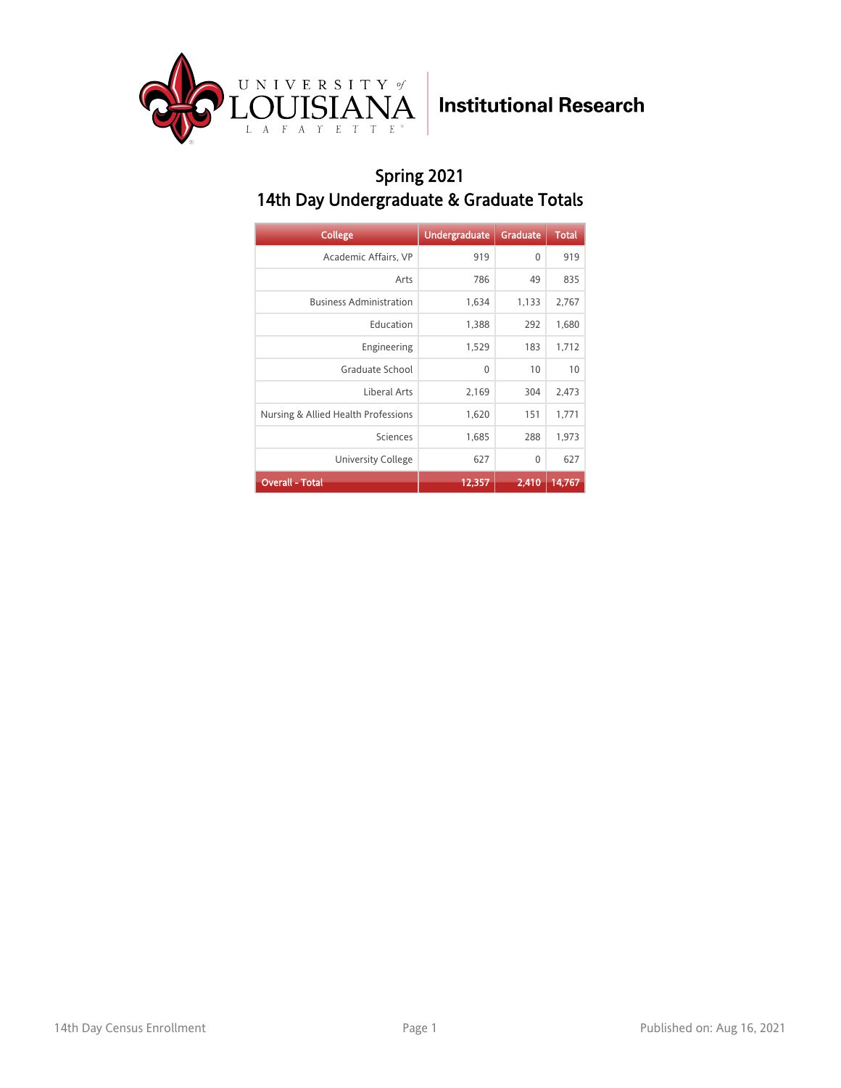

### Spring 2021 14th Day Undergraduate & Graduate Totals

| <b>College</b>                      | <b>Undergraduate</b> | <b>Graduate</b> | <b>Total</b> |
|-------------------------------------|----------------------|-----------------|--------------|
| Academic Affairs, VP                | 919                  | 0               | 919          |
| Arts                                | 786                  | 49              | 835          |
| <b>Business Administration</b>      | 1,634                | 1,133           | 2,767        |
| Education                           | 1,388                | 292             | 1,680        |
| Engineering                         | 1,529                | 183             | 1,712        |
| Graduate School                     | 0                    | 10              | 10           |
| Liberal Arts                        | 2,169                | 304             | 2,473        |
| Nursing & Allied Health Professions | 1,620                | 151             | 1,771        |
| Sciences                            | 1,685                | 288             | 1,973        |
| University College                  | 627                  | 0               | 627          |
| <b>Overall - Total</b>              | 12,357               | 2,410           | 14,767       |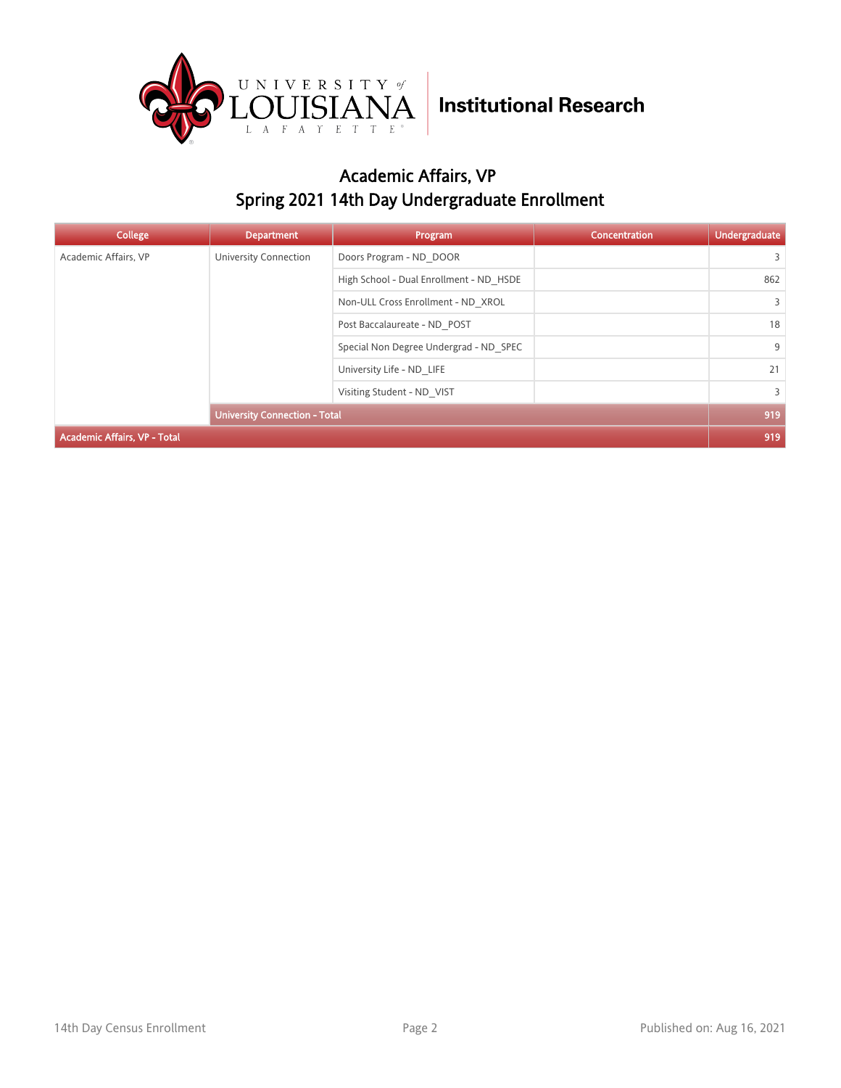

### Academic Affairs, VP Spring 2021 14th Day Undergraduate Enrollment

| College                             | <b>Department</b>                    | Program                                 | <b>Concentration</b> | <b>Undergraduate</b> |
|-------------------------------------|--------------------------------------|-----------------------------------------|----------------------|----------------------|
| Academic Affairs, VP                | University Connection                | Doors Program - ND DOOR                 |                      | 3                    |
|                                     |                                      | High School - Dual Enrollment - ND HSDE |                      | 862                  |
|                                     |                                      | Non-ULL Cross Enrollment - ND XROL      |                      | $\overline{3}$       |
|                                     |                                      | Post Baccalaureate - ND POST            |                      | 18                   |
|                                     |                                      | Special Non Degree Undergrad - ND SPEC  |                      | 9                    |
|                                     |                                      | University Life - ND LIFE               |                      | 21                   |
|                                     | Visiting Student - ND VIST           |                                         | $\overline{3}$       |                      |
|                                     | <b>University Connection - Total</b> |                                         |                      | 919                  |
| <b>Academic Affairs, VP - Total</b> |                                      |                                         |                      | 919                  |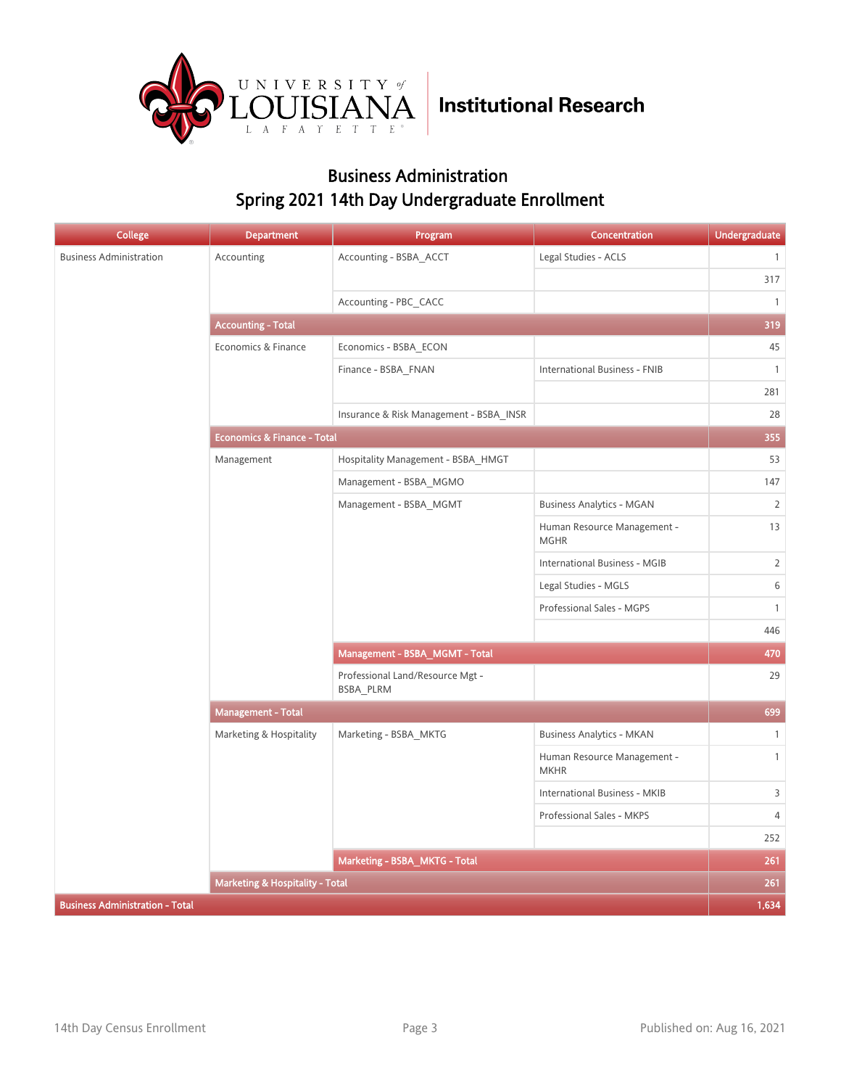

#### Business Administration Spring 2021 14th Day Undergraduate Enrollment

| <b>College</b>                         | <b>Department</b>                      | Program                                       | <b>Concentration</b>                       | <b>Undergraduate</b> |
|----------------------------------------|----------------------------------------|-----------------------------------------------|--------------------------------------------|----------------------|
| <b>Business Administration</b>         | Accounting                             | Accounting - BSBA ACCT                        | Legal Studies - ACLS                       | $\overline{1}$       |
|                                        |                                        |                                               |                                            | 317                  |
|                                        |                                        | Accounting - PBC CACC                         |                                            | $\overline{1}$       |
|                                        | <b>Accounting - Total</b>              |                                               |                                            | 319                  |
|                                        | Economics & Finance                    | Economics - BSBA_ECON                         |                                            | 45                   |
|                                        |                                        | Finance - BSBA FNAN                           | International Business - FNIB              | $\overline{1}$       |
|                                        |                                        |                                               |                                            | 281                  |
|                                        |                                        | Insurance & Risk Management - BSBA INSR       |                                            | 28                   |
|                                        | <b>Economics &amp; Finance - Total</b> |                                               |                                            | 355                  |
|                                        | Management                             | Hospitality Management - BSBA HMGT            |                                            | 53                   |
|                                        |                                        | Management - BSBA MGMO                        |                                            | 147                  |
|                                        |                                        | Management - BSBA MGMT                        | <b>Business Analytics - MGAN</b>           | $\overline{2}$       |
|                                        |                                        |                                               | Human Resource Management -<br><b>MGHR</b> | 13                   |
|                                        |                                        |                                               | International Business - MGIB              | $\overline{2}$       |
|                                        |                                        |                                               | Legal Studies - MGLS                       | $\,$ 6 $\,$          |
|                                        |                                        |                                               | Professional Sales - MGPS                  | $\mathbf{1}$         |
|                                        |                                        |                                               |                                            | 446                  |
|                                        |                                        | Management - BSBA_MGMT - Total                | 470                                        |                      |
|                                        |                                        | Professional Land/Resource Mgt -<br>BSBA_PLRM |                                            | 29                   |
|                                        | Management - Total                     |                                               |                                            | 699                  |
|                                        | Marketing & Hospitality                | Marketing - BSBA_MKTG                         | <b>Business Analytics - MKAN</b>           | $\mathbf{1}$         |
|                                        |                                        |                                               | Human Resource Management -<br><b>MKHR</b> | $\mathbf{1}$         |
|                                        |                                        |                                               | International Business - MKIB              | 3                    |
|                                        |                                        |                                               | Professional Sales - MKPS                  | $\overline{4}$       |
|                                        |                                        |                                               |                                            | 252                  |
|                                        |                                        | Marketing - BSBA_MKTG - Total                 |                                            | 261                  |
|                                        | Marketing & Hospitality - Total        |                                               |                                            | 261                  |
| <b>Business Administration - Total</b> |                                        |                                               |                                            | 1,634                |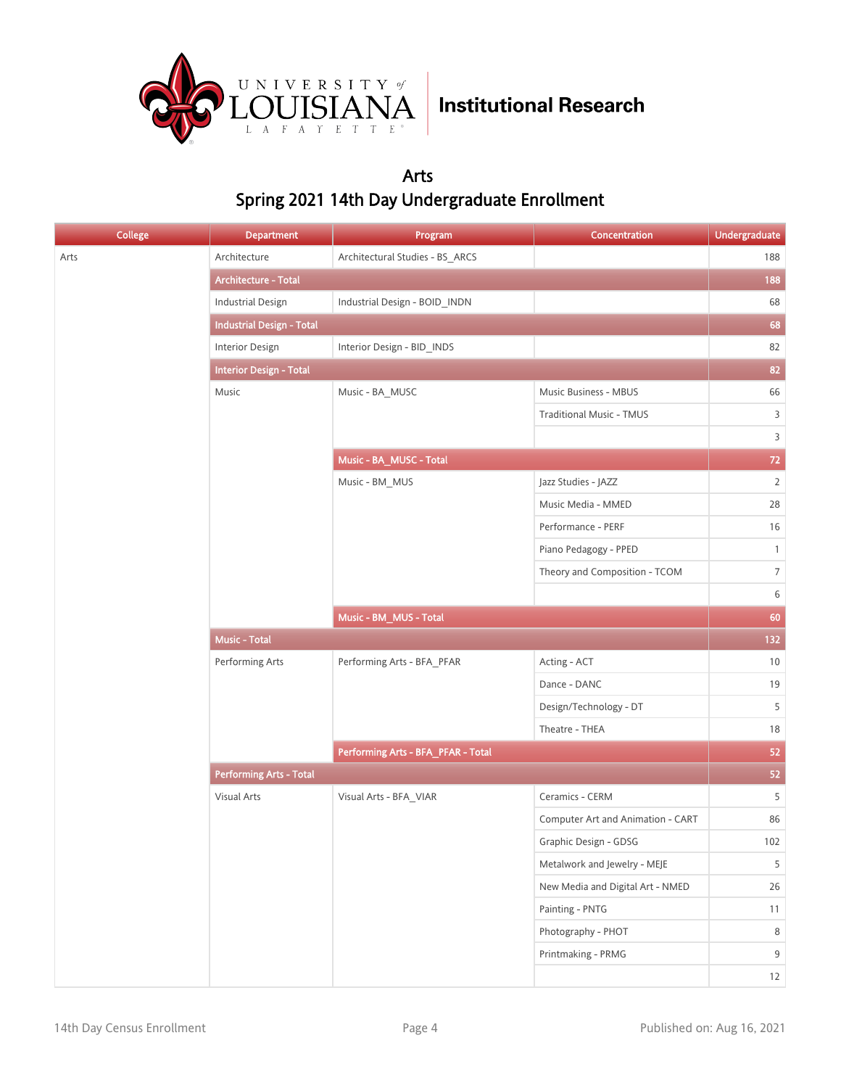

#### Arts Spring 2021 14th Day Undergraduate Enrollment

| <b>College</b> | <b>Department</b>                | Program                            | Concentration                     | Undergraduate  |
|----------------|----------------------------------|------------------------------------|-----------------------------------|----------------|
| Arts           | Architecture                     | Architectural Studies - BS_ARCS    |                                   | 188            |
|                | Architecture - Total             |                                    |                                   | 188            |
|                | <b>Industrial Design</b>         | Industrial Design - BOID_INDN      |                                   | 68             |
|                | <b>Industrial Design - Total</b> |                                    |                                   | 68             |
|                | Interior Design                  | Interior Design - BID_INDS         |                                   | 82             |
|                | <b>Interior Design - Total</b>   |                                    |                                   | 82             |
|                | Music                            | Music - BA_MUSC                    | Music Business - MBUS             | 66             |
|                |                                  |                                    | <b>Traditional Music - TMUS</b>   | $\overline{3}$ |
|                |                                  |                                    |                                   | $\mathsf{3}$   |
|                |                                  | Music - BA_MUSC - Total            |                                   | $72\,$         |
|                |                                  | Music - BM_MUS                     | Jazz Studies - JAZZ               | $\overline{2}$ |
|                |                                  |                                    | Music Media - MMED                | 28             |
|                |                                  |                                    | Performance - PERF                | 16             |
|                |                                  |                                    | Piano Pedagogy - PPED             | $\mathbf{1}$   |
|                |                                  |                                    | Theory and Composition - TCOM     | $\,7$          |
|                |                                  |                                    |                                   | $\,$ 6 $\,$    |
|                |                                  | Music - BM_MUS - Total             |                                   | 60             |
|                | <b>Music - Total</b>             |                                    |                                   | 132            |
|                | Performing Arts                  | Performing Arts - BFA_PFAR         | Acting - ACT                      | 10             |
|                |                                  |                                    | Dance - DANC                      | 19             |
|                |                                  |                                    | Design/Technology - DT            | 5              |
|                |                                  |                                    | Theatre - THEA                    | $18\,$         |
|                |                                  | Performing Arts - BFA_PFAR - Total |                                   | 52             |
|                | <b>Performing Arts - Total</b>   |                                    |                                   | 52             |
|                | Visual Arts                      | Visual Arts - BFA_VIAR             | Ceramics - CERM                   | 5              |
|                |                                  |                                    | Computer Art and Animation - CART | 86             |
|                |                                  |                                    | Graphic Design - GDSG             | $102\,$        |
|                |                                  |                                    | Metalwork and Jewelry - MEJE      | 5              |
|                |                                  |                                    | New Media and Digital Art - NMED  | $26\,$         |
|                |                                  |                                    | Painting - PNTG                   | 11             |
|                |                                  |                                    | Photography - PHOT                | 8              |
|                |                                  |                                    | Printmaking - PRMG                | $9\,$          |
|                |                                  |                                    |                                   | 12             |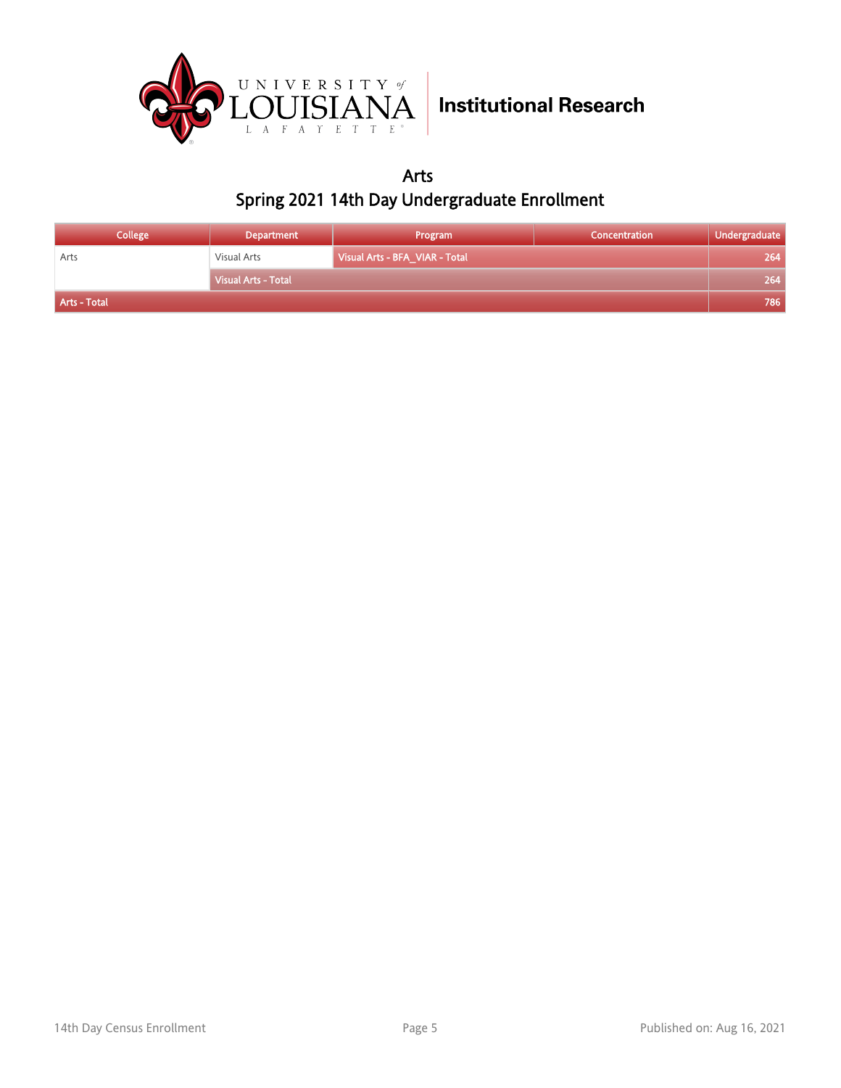

Arts Spring 2021 14th Day Undergraduate Enrollment

| <b>College</b> | <b>Department</b>   | Program                        | <b>Concentration</b> | Undergraduate |
|----------------|---------------------|--------------------------------|----------------------|---------------|
| Arts           | Visual Arts         | Visual Arts - BFA VIAR - Total |                      | 264           |
|                | Visual Arts - Total |                                |                      | 264           |
| Arts - Total   |                     |                                |                      | 786           |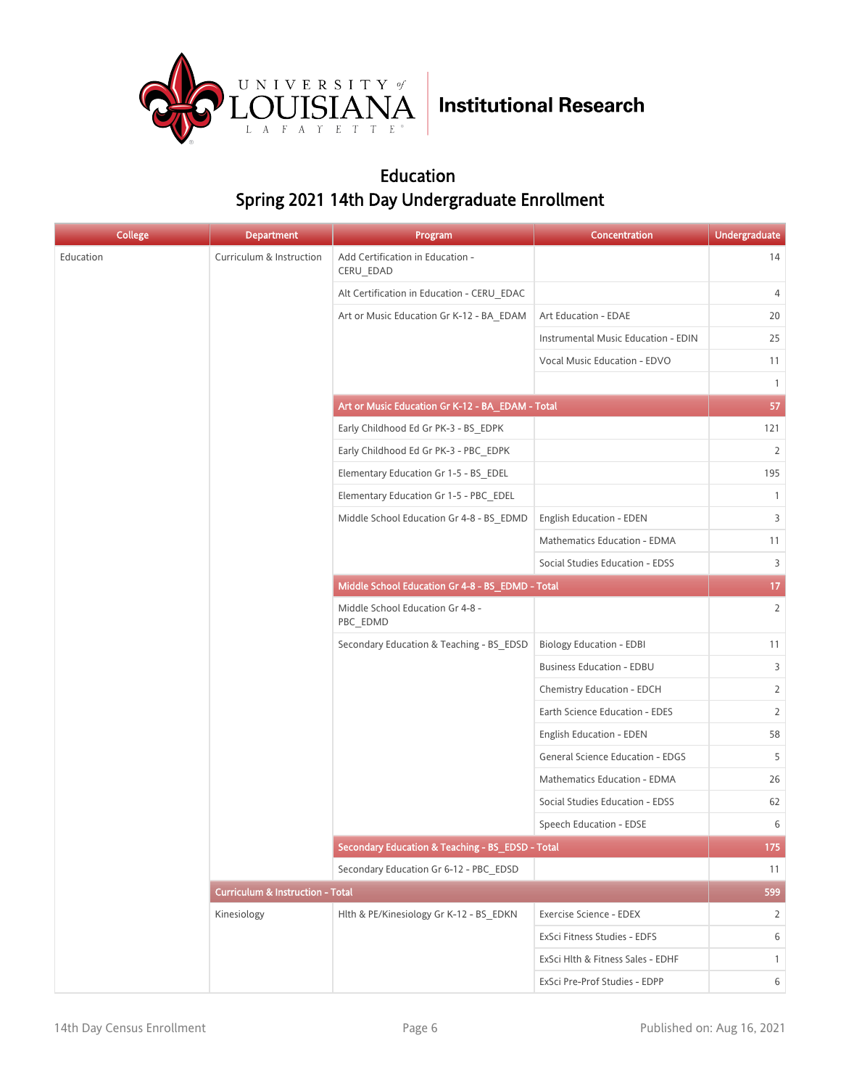

#### Education Spring 2021 14th Day Undergraduate Enrollment

| <b>College</b> | <b>Department</b>                           | Program                                          | Concentration                       | <b>Undergraduate</b> |
|----------------|---------------------------------------------|--------------------------------------------------|-------------------------------------|----------------------|
| Education      | Curriculum & Instruction                    | Add Certification in Education -<br>CERU_EDAD    |                                     | 14                   |
|                |                                             | Alt Certification in Education - CERU EDAC       |                                     | $\overline{4}$       |
|                |                                             | Art or Music Education Gr K-12 - BA EDAM         | Art Education - EDAE                | 20                   |
|                |                                             |                                                  | Instrumental Music Education - EDIN | 25                   |
|                |                                             |                                                  | Vocal Music Education - EDVO        | 11                   |
|                |                                             |                                                  |                                     | $\mathbf{1}$         |
|                |                                             | Art or Music Education Gr K-12 - BA_EDAM - Total |                                     | 57                   |
|                |                                             | Early Childhood Ed Gr PK-3 - BS EDPK             |                                     | 121                  |
|                |                                             | Early Childhood Ed Gr PK-3 - PBC EDPK            |                                     | $\overline{2}$       |
|                |                                             | Elementary Education Gr 1-5 - BS EDEL            |                                     | 195                  |
|                |                                             | Elementary Education Gr 1-5 - PBC EDEL           |                                     | $\mathbf{1}$         |
|                |                                             | Middle School Education Gr 4-8 - BS_EDMD         | English Education - EDEN            | 3                    |
|                |                                             |                                                  | Mathematics Education - EDMA        | 11                   |
|                |                                             |                                                  | Social Studies Education - EDSS     | 3                    |
|                |                                             | Middle School Education Gr 4-8 - BS_EDMD - Total |                                     | 17 <sub>2</sub>      |
|                |                                             | Middle School Education Gr 4-8 -<br>PBC_EDMD     |                                     | $\overline{2}$       |
|                |                                             | Secondary Education & Teaching - BS_EDSD         | <b>Biology Education - EDBI</b>     | 11                   |
|                |                                             |                                                  | <b>Business Education - EDBU</b>    | 3                    |
|                |                                             |                                                  | Chemistry Education - EDCH          | 2                    |
|                |                                             |                                                  | Earth Science Education - EDES      | 2                    |
|                |                                             |                                                  | English Education - EDEN            | 58                   |
|                |                                             |                                                  | General Science Education - EDGS    | 5                    |
|                |                                             |                                                  | Mathematics Education - EDMA        | 26                   |
|                |                                             |                                                  | Social Studies Education - EDSS     | 62                   |
|                |                                             |                                                  | Speech Education - EDSE             | 6                    |
|                |                                             | Secondary Education & Teaching - BS_EDSD - Total |                                     | 175                  |
|                |                                             | Secondary Education Gr 6-12 - PBC_EDSD           |                                     | 11                   |
|                | <b>Curriculum &amp; Instruction - Total</b> |                                                  |                                     | 599                  |
|                | Kinesiology                                 | Hlth & PE/Kinesiology Gr K-12 - BS_EDKN          | Exercise Science - EDEX             | 2                    |
|                |                                             |                                                  | ExSci Fitness Studies - EDFS        | 6                    |
|                |                                             |                                                  | ExSci Hlth & Fitness Sales - EDHF   | $\mathbf{1}$         |
|                |                                             |                                                  | ExSci Pre-Prof Studies - EDPP       | 6                    |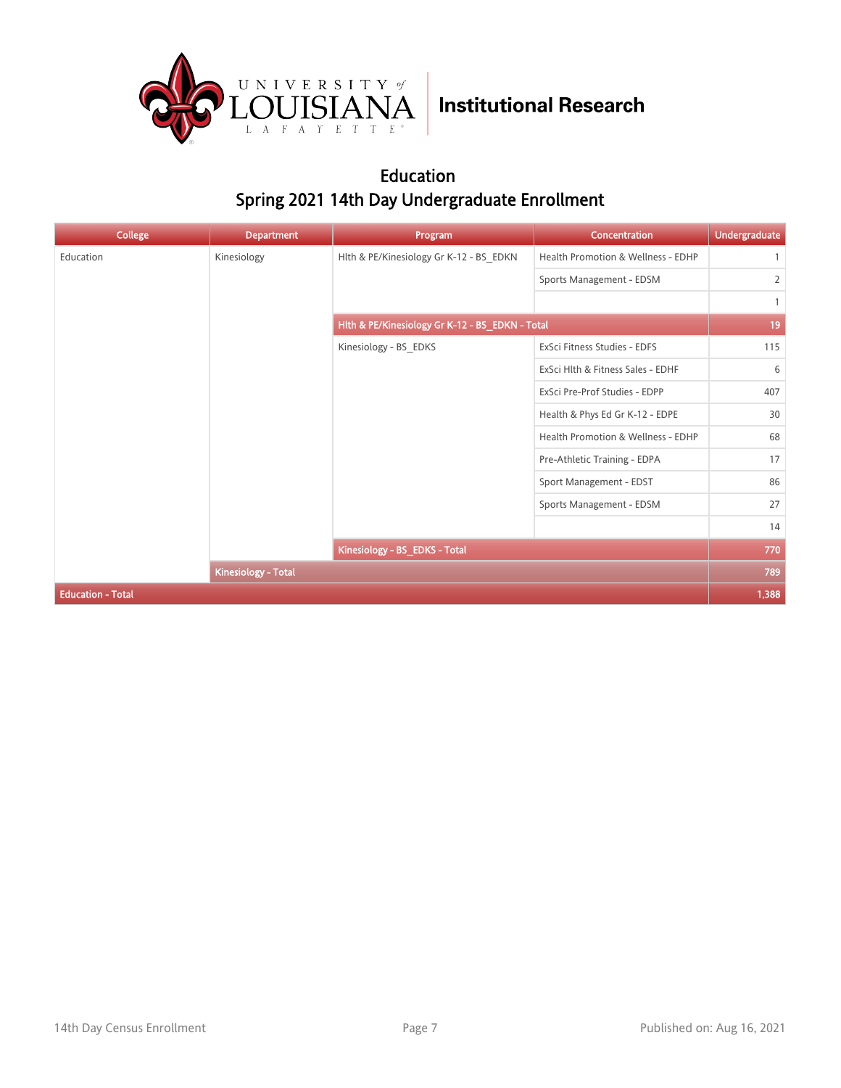

#### Education Spring 2021 14th Day Undergraduate Enrollment

| <b>College</b>           | <b>Department</b>                                                     | Program                                         | Concentration                      | <b>Undergraduate</b> |
|--------------------------|-----------------------------------------------------------------------|-------------------------------------------------|------------------------------------|----------------------|
| Education                | Kinesiology                                                           | Hlth & PE/Kinesiology Gr K-12 - BS_EDKN         | Health Promotion & Wellness - EDHP |                      |
|                          |                                                                       |                                                 | Sports Management - EDSM           | $\overline{2}$       |
|                          |                                                                       |                                                 |                                    | $\mathbf{1}$         |
|                          |                                                                       | Hith & PE/Kinesiology Gr K-12 - BS_EDKN - Total |                                    | 19                   |
|                          |                                                                       | Kinesiology - BS_EDKS                           | ExSci Fitness Studies - EDFS       | 115                  |
|                          |                                                                       |                                                 | ExSci Hlth & Fitness Sales - EDHF  | 6                    |
|                          |                                                                       |                                                 | ExSci Pre-Prof Studies - EDPP      | 407                  |
|                          | Health & Phys Ed Gr K-12 - EDPE<br>Health Promotion & Wellness - EDHP | 30                                              |                                    |                      |
|                          |                                                                       | 68                                              |                                    |                      |
|                          |                                                                       |                                                 | Pre-Athletic Training - EDPA       | 17                   |
|                          |                                                                       |                                                 | Sport Management - EDST            | 86                   |
|                          |                                                                       |                                                 | Sports Management - EDSM           | 27                   |
|                          |                                                                       |                                                 |                                    | 14                   |
|                          |                                                                       | Kinesiology - BS_EDKS - Total                   |                                    | 770                  |
|                          | <b>Kinesiology - Total</b>                                            |                                                 |                                    | 789                  |
| <b>Education - Total</b> |                                                                       |                                                 |                                    | 1,388                |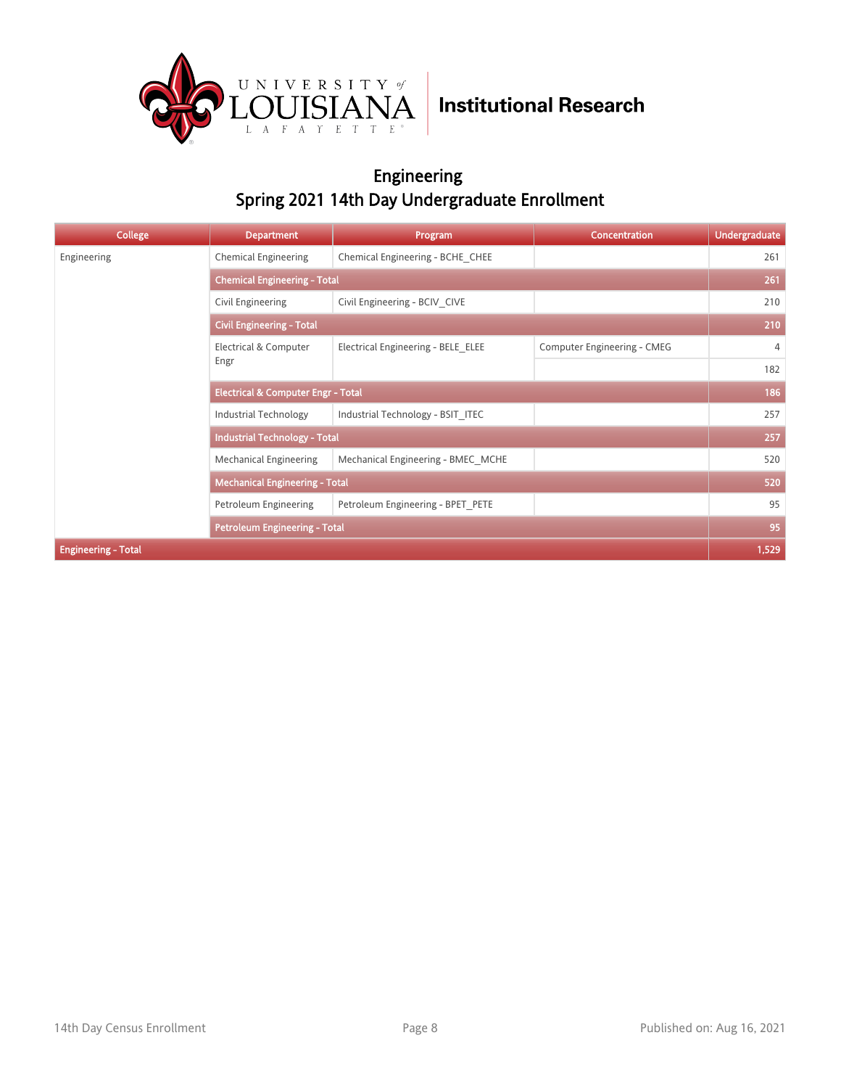

#### Engineering Spring 2021 14th Day Undergraduate Enrollment

| <b>College</b>             | <b>Department</b>                             | Program                             | <b>Concentration</b>        | <b>Undergraduate</b> |  |  |
|----------------------------|-----------------------------------------------|-------------------------------------|-----------------------------|----------------------|--|--|
| Engineering                | <b>Chemical Engineering</b>                   | Chemical Engineering - BCHE CHEE    |                             | 261                  |  |  |
|                            |                                               | <b>Chemical Engineering - Total</b> |                             |                      |  |  |
|                            | Civil Engineering                             | Civil Engineering - BCIV CIVE       |                             | 210                  |  |  |
|                            | <b>Civil Engineering - Total</b>              |                                     |                             | 210                  |  |  |
|                            | Electrical & Computer                         | Electrical Engineering - BELE ELEE  | Computer Engineering - CMEG | 4                    |  |  |
|                            | Engr                                          |                                     |                             | 182                  |  |  |
|                            | <b>Electrical &amp; Computer Engr - Total</b> |                                     |                             | 186                  |  |  |
|                            | <b>Industrial Technology</b>                  | Industrial Technology - BSIT ITEC   |                             | 257                  |  |  |
|                            | <b>Industrial Technology - Total</b>          |                                     |                             | 257                  |  |  |
|                            | Mechanical Engineering                        | Mechanical Engineering - BMEC MCHE  |                             | 520                  |  |  |
|                            | <b>Mechanical Engineering - Total</b>         |                                     |                             | 520                  |  |  |
|                            | Petroleum Engineering                         | Petroleum Engineering - BPET PETE   |                             | 95                   |  |  |
|                            | <b>Petroleum Engineering - Total</b>          |                                     |                             | 95                   |  |  |
| <b>Engineering - Total</b> |                                               |                                     |                             | 1,529                |  |  |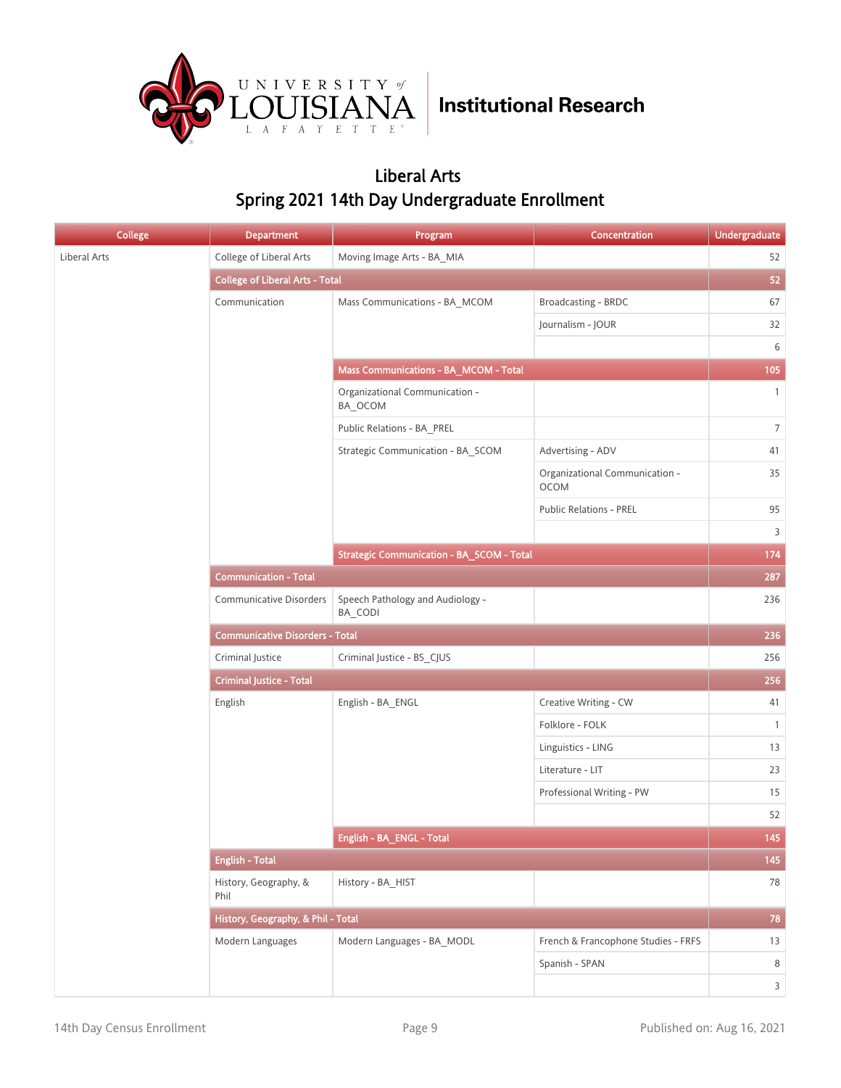

#### Liberal Arts Spring 2021 14th Day Undergraduate Enrollment

| <b>College</b> | <b>Department</b>                      | Program                                          | Concentration                                 | <b>Undergraduate</b>    |
|----------------|----------------------------------------|--------------------------------------------------|-----------------------------------------------|-------------------------|
| Liberal Arts   | College of Liberal Arts                | Moving Image Arts - BA MIA                       |                                               | 52                      |
|                | <b>College of Liberal Arts - Total</b> |                                                  |                                               | 52                      |
|                | Communication                          | Mass Communications - BA_MCOM                    | Broadcasting - BRDC                           | 67                      |
|                |                                        |                                                  | Journalism - JOUR                             | 32                      |
|                |                                        |                                                  |                                               | 6                       |
|                |                                        | Mass Communications - BA_MCOM - Total            |                                               | 105                     |
|                |                                        | Organizational Communication -<br>BA_OCOM        |                                               | $\mathbf{1}$            |
|                |                                        | Public Relations - BA_PREL                       |                                               | $\overline{7}$          |
|                |                                        | Strategic Communication - BA_SCOM                | Advertising - ADV                             | 41                      |
|                |                                        |                                                  | Organizational Communication -<br><b>OCOM</b> | 35                      |
|                |                                        |                                                  | <b>Public Relations - PREL</b>                | 95                      |
|                |                                        |                                                  |                                               | 3                       |
|                |                                        | <b>Strategic Communication - BA_SCOM - Total</b> |                                               | 174                     |
|                | <b>Communication - Total</b>           |                                                  |                                               | 287                     |
|                | <b>Communicative Disorders</b>         | Speech Pathology and Audiology -<br>BA_CODI      |                                               | 236                     |
|                | <b>Communicative Disorders - Total</b> |                                                  |                                               | 236                     |
|                | Criminal Justice                       | Criminal Justice - BS_CJUS                       |                                               | 256                     |
|                | <b>Criminal Justice - Total</b>        |                                                  |                                               | 256                     |
|                | English                                | English - BA_ENGL                                | Creative Writing - CW                         | 41                      |
|                |                                        |                                                  | Folklore - FOLK                               | $\mathbf{1}$            |
|                |                                        |                                                  | Linguistics - LING                            | 13                      |
|                |                                        |                                                  | Literature - LIT                              | 23                      |
|                |                                        |                                                  | Professional Writing - PW                     | 15                      |
|                |                                        |                                                  |                                               | 52                      |
|                |                                        | English - BA_ENGL - Total                        |                                               | 145                     |
|                | <b>English - Total</b>                 |                                                  |                                               | 145                     |
|                | History, Geography, &<br>Phil          | History - BA_HIST                                |                                               | 78                      |
|                | History, Geography, & Phil - Total     |                                                  |                                               | $78\,$                  |
|                | Modern Languages                       | Modern Languages - BA MODL                       | French & Francophone Studies - FRFS           | 13                      |
|                |                                        |                                                  | Spanish - SPAN                                | 8                       |
|                |                                        |                                                  |                                               | $\overline{\mathbf{3}}$ |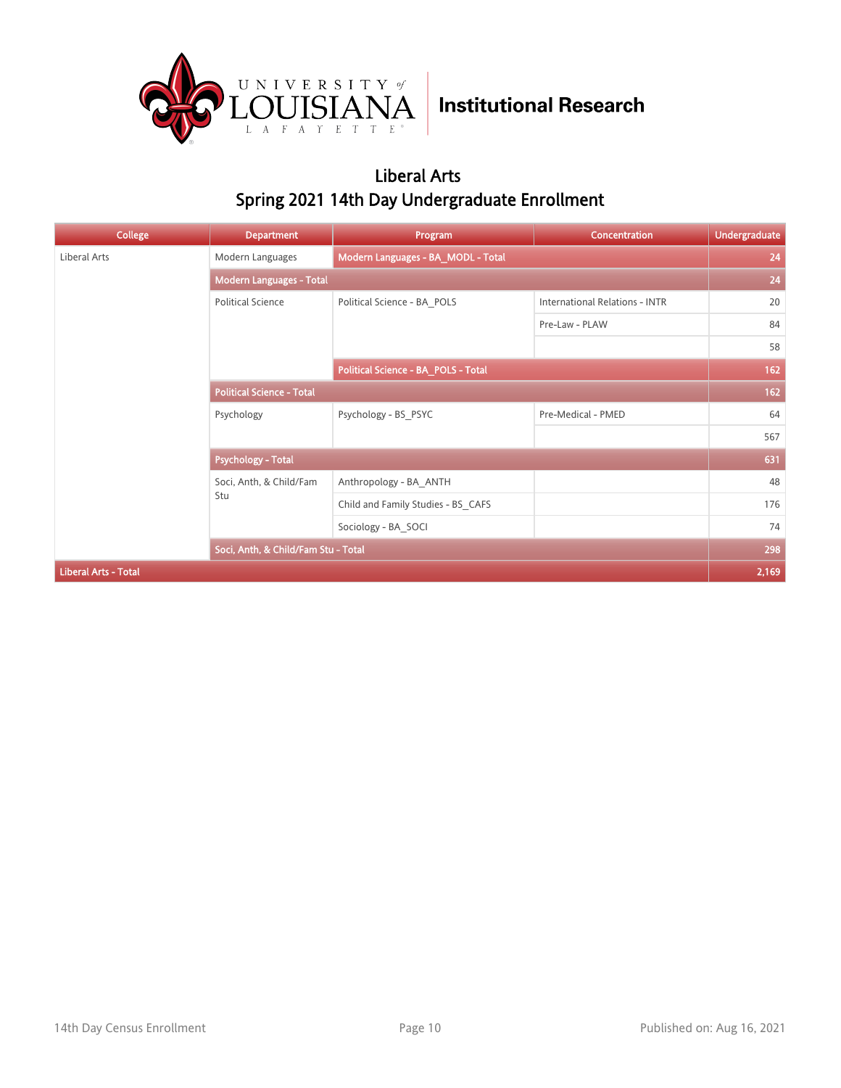

#### Liberal Arts Spring 2021 14th Day Undergraduate Enrollment

| <b>College</b>              | <b>Department</b>                   | Program                             | Concentration                         | <b>Undergraduate</b> |
|-----------------------------|-------------------------------------|-------------------------------------|---------------------------------------|----------------------|
| Liberal Arts                | Modern Languages                    | Modern Languages - BA_MODL - Total  |                                       | 24                   |
|                             | <b>Modern Languages - Total</b>     |                                     |                                       | 24                   |
|                             | <b>Political Science</b>            | Political Science - BA POLS         | <b>International Relations - INTR</b> | 20                   |
|                             |                                     |                                     | Pre-Law - PLAW                        | 84                   |
|                             |                                     |                                     |                                       | 58                   |
|                             |                                     | Political Science - BA_POLS - Total |                                       | 162                  |
|                             | <b>Political Science - Total</b>    |                                     |                                       | 162                  |
|                             | Psychology                          | Psychology - BS PSYC                | Pre-Medical - PMED                    | 64                   |
|                             |                                     |                                     |                                       | 567                  |
|                             | <b>Psychology - Total</b>           |                                     |                                       | 631                  |
|                             | Soci, Anth, & Child/Fam             | Anthropology - BA ANTH              |                                       | 48                   |
|                             | Stu                                 | Child and Family Studies - BS CAFS  |                                       | 176                  |
|                             |                                     | Sociology - BA SOCI                 |                                       | 74                   |
|                             | Soci, Anth, & Child/Fam Stu - Total |                                     |                                       | 298                  |
| <b>Liberal Arts - Total</b> |                                     |                                     |                                       | 2,169                |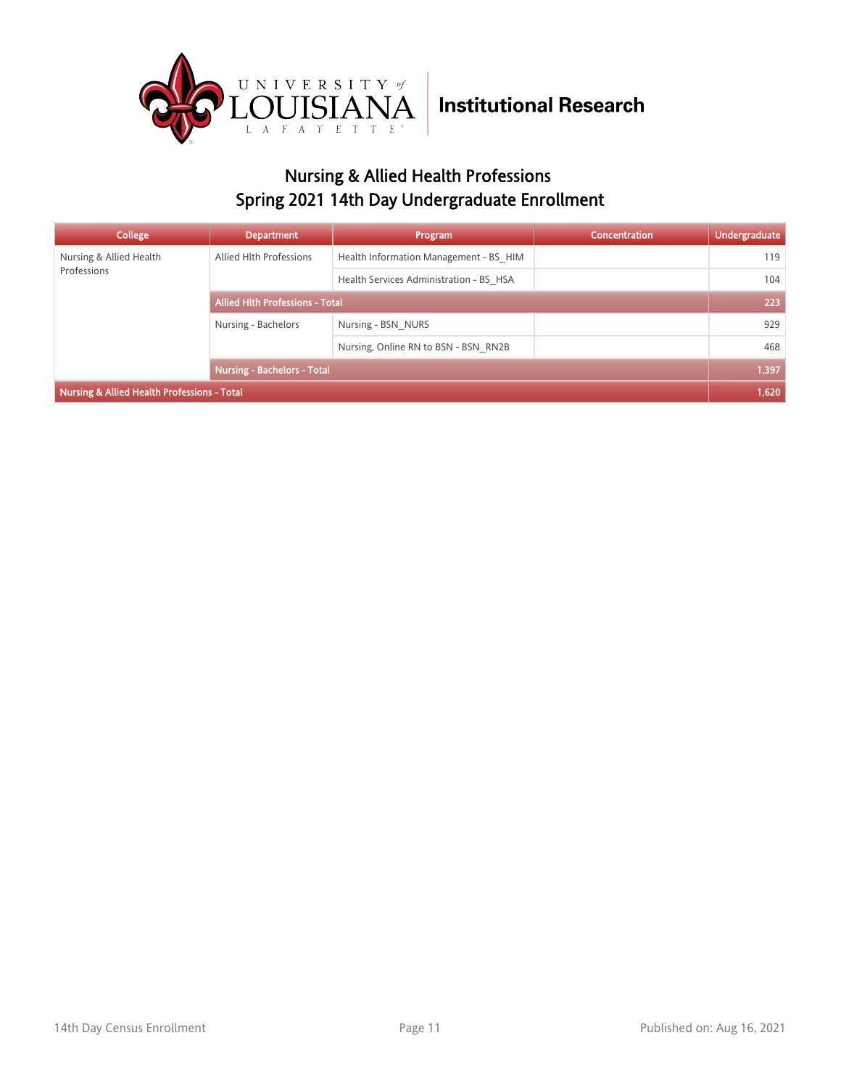

### Nursing & Allied Health Professions Spring 2021 14th Day Undergraduate Enrollment

| College                                     | <b>Department</b>                      | Program                                 | <b>Concentration</b> | <b>Undergraduate</b> |
|---------------------------------------------|----------------------------------------|-----------------------------------------|----------------------|----------------------|
| Nursing & Allied Health                     | Allied Hlth Professions                | Health Information Management - BS HIM  |                      | 119                  |
| Professions                                 |                                        | Health Services Administration - BS HSA |                      | 104                  |
|                                             | <b>Allied Hith Professions - Total</b> |                                         |                      | 223                  |
|                                             | Nursing - Bachelors                    | Nursing - BSN NURS                      |                      | 929                  |
|                                             |                                        | Nursing, Online RN to BSN - BSN RN2B    |                      | 468                  |
|                                             | <b>Nursing - Bachelors - Total</b>     |                                         |                      | 1,397                |
| Nursing & Allied Health Professions - Total |                                        |                                         |                      | 1,620                |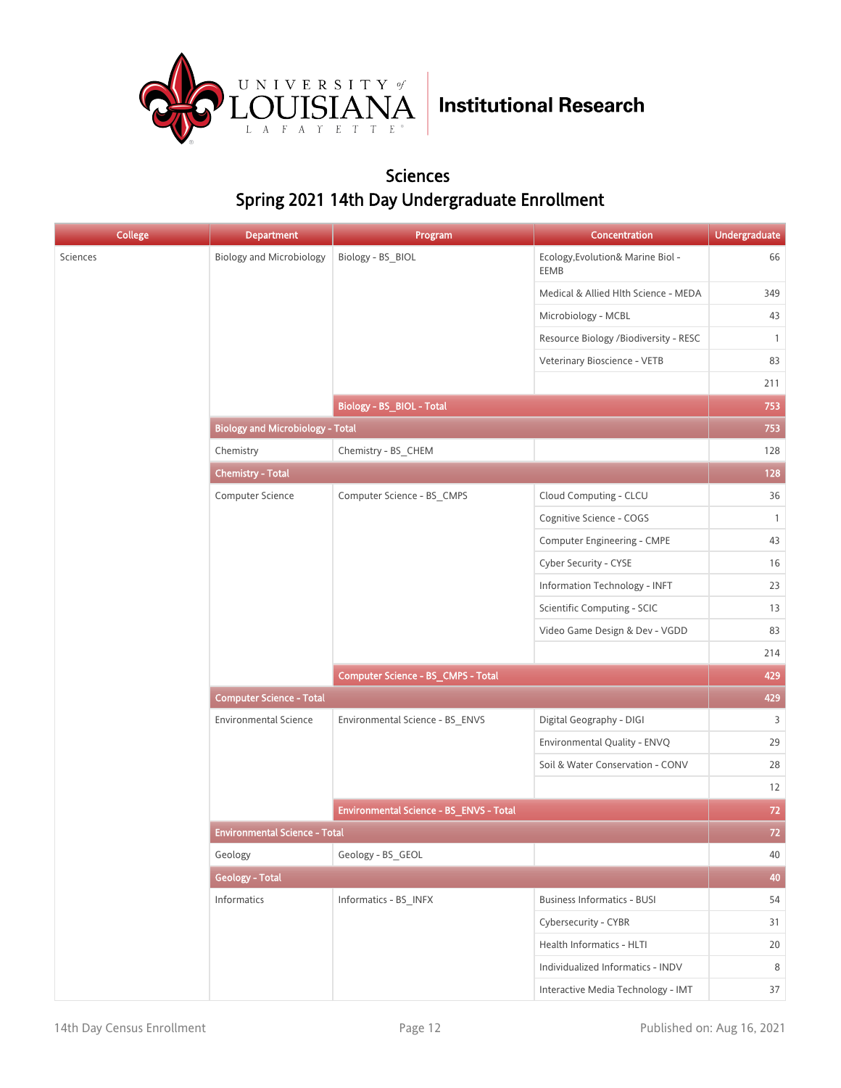

#### Sciences Spring 2021 14th Day Undergraduate Enrollment

| <b>College</b> | <b>Department</b>                       | Program                                 | Concentration                             | Undergraduate |
|----------------|-----------------------------------------|-----------------------------------------|-------------------------------------------|---------------|
| Sciences       | <b>Biology and Microbiology</b>         | Biology - BS_BIOL                       | Ecology, Evolution& Marine Biol -<br>EEMB | 66            |
|                |                                         |                                         | Medical & Allied Hlth Science - MEDA      | 349           |
|                |                                         |                                         | Microbiology - MCBL                       | 43            |
|                |                                         |                                         | Resource Biology /Biodiversity - RESC     | $\mathbf{1}$  |
|                |                                         |                                         | Veterinary Bioscience - VETB              | 83            |
|                |                                         |                                         |                                           | 211           |
|                |                                         | Biology - BS_BIOL - Total               |                                           | 753           |
|                | <b>Biology and Microbiology - Total</b> |                                         |                                           | 753           |
|                | Chemistry                               | Chemistry - BS_CHEM                     |                                           | 128           |
|                | <b>Chemistry - Total</b>                |                                         |                                           | 128           |
|                | Computer Science                        | Computer Science - BS_CMPS              | Cloud Computing - CLCU                    | 36            |
|                |                                         |                                         | Cognitive Science - COGS                  | $\mathbf{1}$  |
|                |                                         |                                         | Computer Engineering - CMPE               | 43            |
|                |                                         |                                         | Cyber Security - CYSE                     | 16            |
|                |                                         |                                         | Information Technology - INFT             | 23            |
|                |                                         |                                         | Scientific Computing - SCIC               | 13            |
|                |                                         |                                         | Video Game Design & Dev - VGDD            | 83            |
|                |                                         |                                         |                                           | 214           |
|                |                                         | Computer Science - BS_CMPS - Total      |                                           | 429           |
|                | <b>Computer Science - Total</b>         |                                         |                                           | 429           |
|                | <b>Environmental Science</b>            | Environmental Science - BS_ENVS         | Digital Geography - DIGI                  | 3             |
|                |                                         |                                         | Environmental Quality - ENVQ              | 29            |
|                |                                         |                                         | Soil & Water Conservation - CONV          | 28            |
|                |                                         |                                         |                                           | 12            |
|                |                                         | Environmental Science - BS_ENVS - Total |                                           | 72            |
|                | <b>Environmental Science - Total</b>    |                                         |                                           | 72            |
|                | Geology                                 | Geology - BS_GEOL                       |                                           | 40            |
|                | <b>Geology - Total</b>                  |                                         |                                           | 40            |
|                | Informatics                             | Informatics - BS_INFX                   | <b>Business Informatics - BUSI</b>        | 54            |
|                |                                         |                                         | Cybersecurity - CYBR                      | 31            |
|                |                                         |                                         | Health Informatics - HLTI                 | 20            |
|                |                                         |                                         | Individualized Informatics - INDV         | 8             |
|                |                                         |                                         | Interactive Media Technology - IMT        | 37            |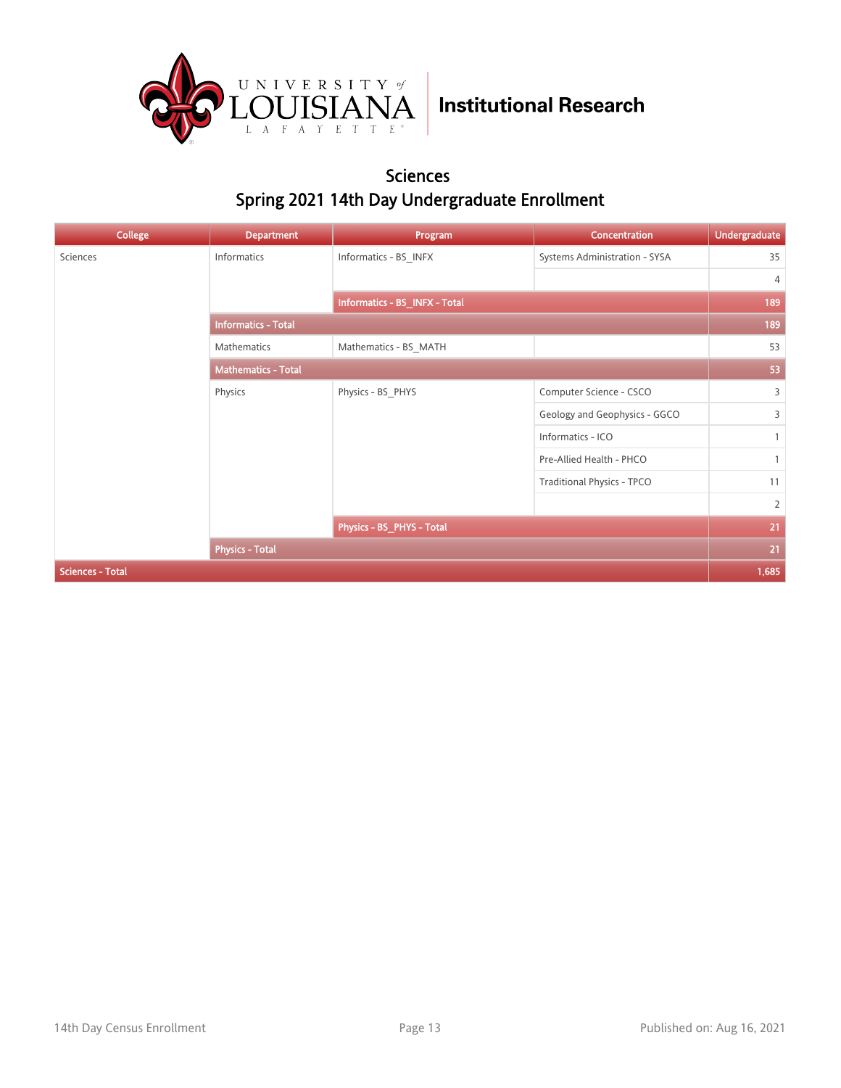

#### Sciences Spring 2021 14th Day Undergraduate Enrollment

| <b>College</b>          | <b>Department</b>          | Program                       | Concentration                 | <b>Undergraduate</b> |
|-------------------------|----------------------------|-------------------------------|-------------------------------|----------------------|
| Sciences                | Informatics                | Informatics - BS INFX         | Systems Administration - SYSA | 35                   |
|                         |                            |                               |                               | 4                    |
|                         |                            | Informatics - BS_INFX - Total |                               | 189                  |
|                         | <b>Informatics - Total</b> |                               |                               | 189                  |
|                         | Mathematics                | Mathematics - BS_MATH         |                               | 53                   |
|                         | <b>Mathematics - Total</b> |                               |                               | 53                   |
|                         | Physics                    | Physics - BS PHYS             | Computer Science - CSCO       | $\overline{3}$       |
|                         |                            |                               | Geology and Geophysics - GGCO | $\overline{3}$       |
|                         |                            |                               | Informatics - ICO             | $\mathbf{1}$         |
|                         |                            |                               | Pre-Allied Health - PHCO      |                      |
|                         |                            |                               | Traditional Physics - TPCO    | 11                   |
|                         |                            |                               |                               | $\overline{2}$       |
|                         |                            | Physics - BS_PHYS - Total     |                               | 21                   |
|                         | <b>Physics - Total</b>     |                               |                               | 21                   |
| <b>Sciences - Total</b> |                            |                               |                               | 1,685                |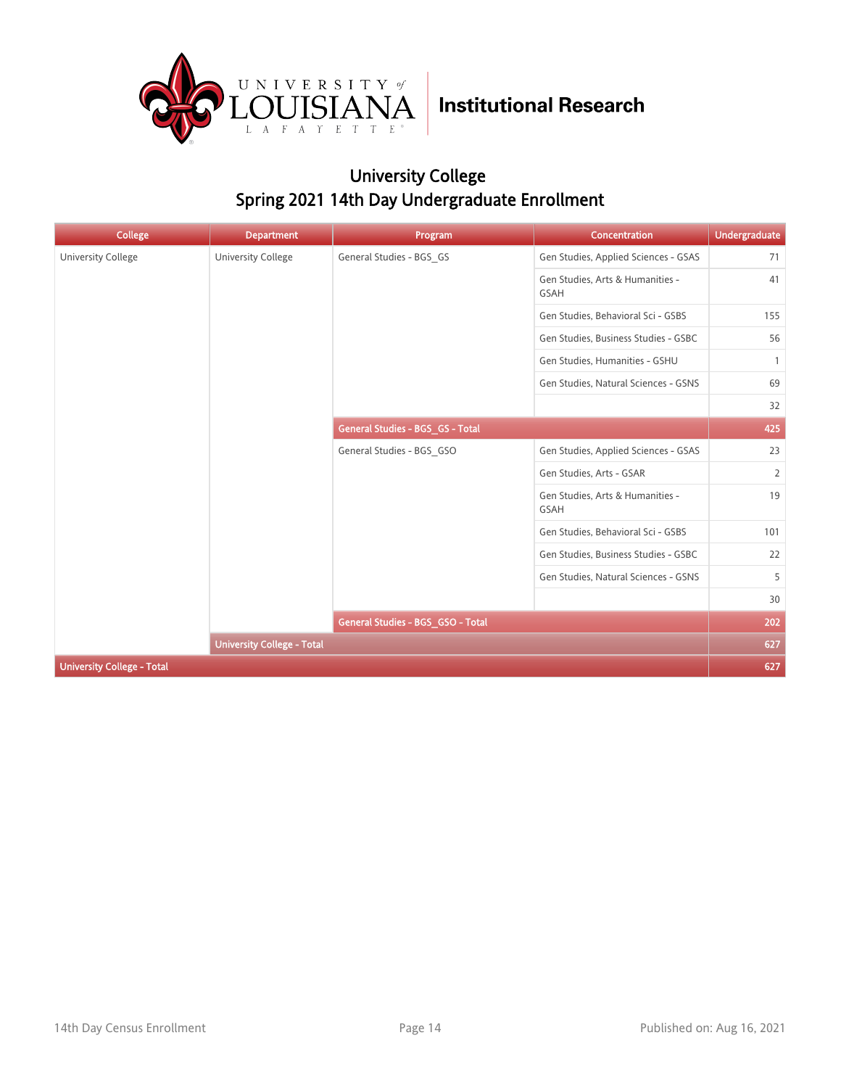

### University College Spring 2021 14th Day Undergraduate Enrollment

| College                           | <b>Department</b>                 | Program                           | Concentration                                   | <b>Undergraduate</b> |
|-----------------------------------|-----------------------------------|-----------------------------------|-------------------------------------------------|----------------------|
| <b>University College</b>         | <b>University College</b>         | General Studies - BGS_GS          | Gen Studies, Applied Sciences - GSAS            | 71                   |
|                                   |                                   |                                   | Gen Studies, Arts & Humanities -<br><b>GSAH</b> | 41                   |
|                                   |                                   |                                   | Gen Studies, Behavioral Sci - GSBS              | 155                  |
|                                   |                                   |                                   | Gen Studies, Business Studies - GSBC            | 56                   |
|                                   |                                   |                                   | Gen Studies, Humanities - GSHU                  | $\mathbf{1}$         |
|                                   |                                   |                                   | Gen Studies, Natural Sciences - GSNS            | 69                   |
|                                   |                                   |                                   |                                                 | 32                   |
|                                   |                                   | General Studies - BGS_GS - Total  |                                                 | 425                  |
|                                   |                                   | General Studies - BGS_GSO         | Gen Studies, Applied Sciences - GSAS            | 23                   |
|                                   |                                   |                                   | Gen Studies, Arts - GSAR                        | $\overline{2}$       |
|                                   |                                   |                                   | Gen Studies, Arts & Humanities -<br>GSAH        | 19                   |
|                                   |                                   |                                   | Gen Studies, Behavioral Sci - GSBS              | 101                  |
|                                   |                                   |                                   | Gen Studies, Business Studies - GSBC            | 22                   |
|                                   |                                   |                                   | Gen Studies, Natural Sciences - GSNS            | 5                    |
|                                   |                                   |                                   | 30                                              |                      |
|                                   |                                   | General Studies - BGS_GSO - Total |                                                 | 202                  |
|                                   | <b>University College - Total</b> |                                   |                                                 | 627                  |
| <b>University College - Total</b> |                                   |                                   |                                                 | 627                  |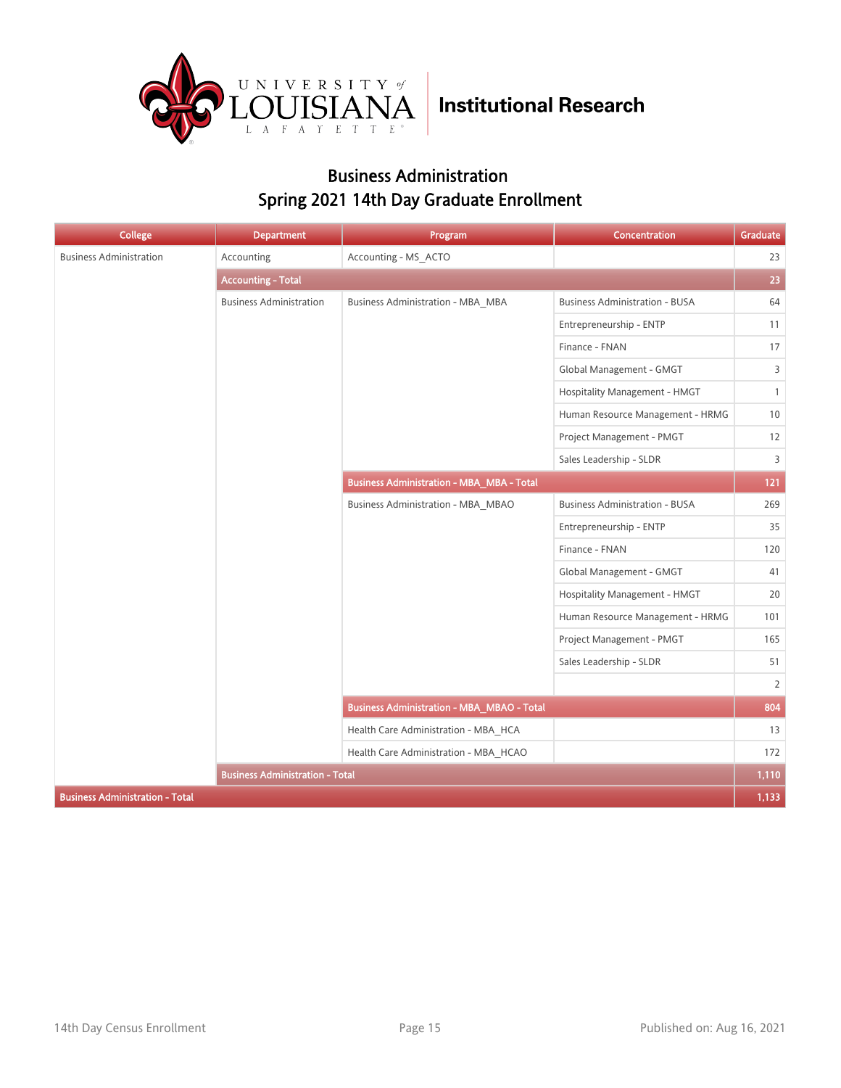

#### Business Administration Spring 2021 14th Day Graduate Enrollment

| <b>College</b>                         | <b>Department</b>                      | Program                                           | Concentration                         | Graduate       |
|----------------------------------------|----------------------------------------|---------------------------------------------------|---------------------------------------|----------------|
| <b>Business Administration</b>         | Accounting                             | Accounting - MS_ACTO                              |                                       | 23             |
|                                        | <b>Accounting - Total</b>              |                                                   |                                       | 23             |
|                                        | <b>Business Administration</b>         | <b>Business Administration - MBA_MBA</b>          | <b>Business Administration - BUSA</b> | 64             |
|                                        |                                        |                                                   | Entrepreneurship - ENTP               | 11             |
|                                        |                                        |                                                   | Finance - FNAN                        | 17             |
|                                        |                                        |                                                   | Global Management - GMGT              | 3              |
|                                        |                                        |                                                   | Hospitality Management - HMGT         | $\mathbf{1}$   |
|                                        |                                        |                                                   | Human Resource Management - HRMG      | 10             |
|                                        |                                        |                                                   | Project Management - PMGT             | 12             |
|                                        |                                        |                                                   | Sales Leadership - SLDR               | 3              |
|                                        |                                        | <b>Business Administration - MBA_MBA - Total</b>  |                                       | 121            |
|                                        |                                        | Business Administration - MBA MBAO                | <b>Business Administration - BUSA</b> | 269            |
|                                        |                                        |                                                   | Entrepreneurship - ENTP               | 35             |
|                                        |                                        |                                                   | Finance - FNAN                        | 120            |
|                                        |                                        |                                                   | Global Management - GMGT              | 41             |
|                                        |                                        |                                                   | Hospitality Management - HMGT         | 20             |
|                                        |                                        |                                                   | Human Resource Management - HRMG      | 101            |
|                                        |                                        |                                                   | Project Management - PMGT             | 165            |
|                                        |                                        |                                                   | Sales Leadership - SLDR               | 51             |
|                                        |                                        |                                                   |                                       | $\overline{2}$ |
|                                        |                                        | <b>Business Administration - MBA_MBAO - Total</b> |                                       | 804            |
|                                        |                                        | Health Care Administration - MBA HCA              |                                       | 13             |
|                                        |                                        | Health Care Administration - MBA_HCAO             |                                       | 172            |
|                                        | <b>Business Administration - Total</b> |                                                   |                                       | 1,110          |
| <b>Business Administration - Total</b> |                                        |                                                   |                                       | 1,133          |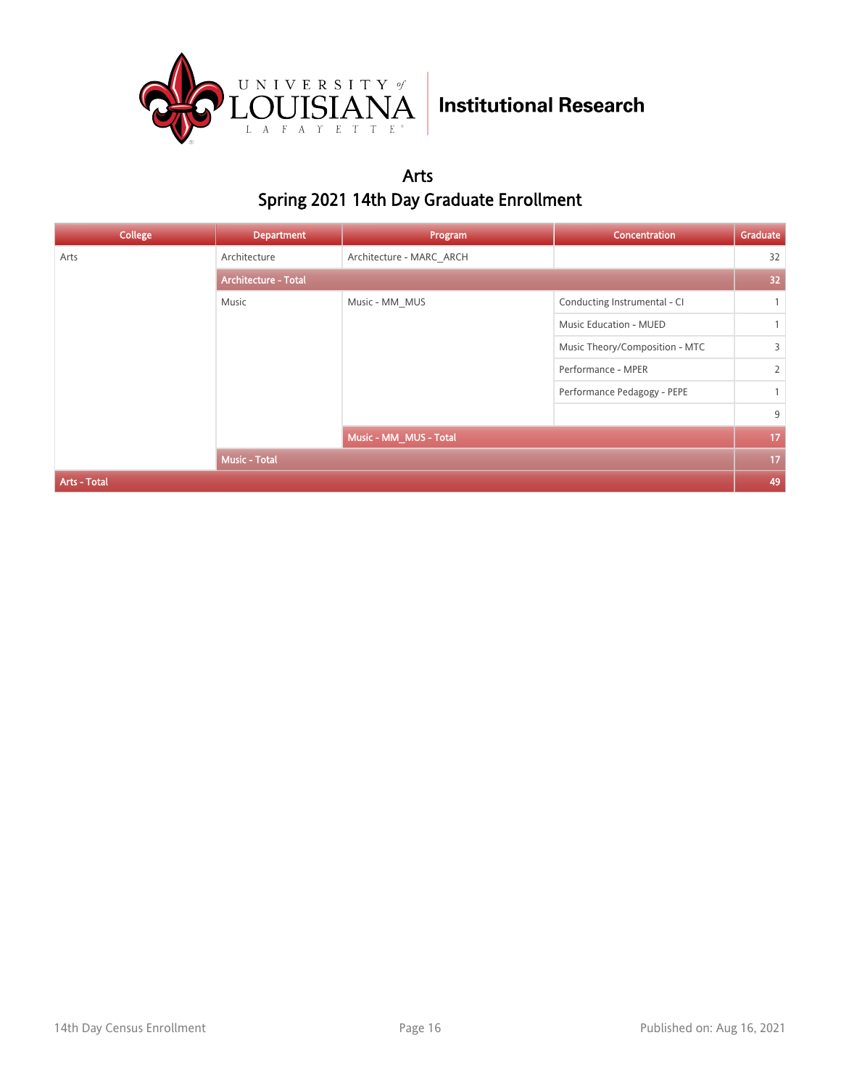

Arts Spring 2021 14th Day Graduate Enrollment

| <b>College</b> | <b>Department</b>           | Program                  | Concentration                  | Graduate     |  |
|----------------|-----------------------------|--------------------------|--------------------------------|--------------|--|
| Arts           | Architecture                | Architecture - MARC ARCH |                                | 32           |  |
|                | <b>Architecture - Total</b> |                          |                                |              |  |
|                | Music                       | Music - MM MUS           | Conducting Instrumental - CI   | $\mathbf{1}$ |  |
|                |                             |                          | Music Education - MUED         | $\mathbf{1}$ |  |
|                |                             |                          | Music Theory/Composition - MTC | 3            |  |
|                |                             |                          | Performance - MPER             | 2            |  |
|                |                             |                          | Performance Pedagogy - PEPE    | $\mathbf{1}$ |  |
|                |                             |                          |                                | 9            |  |
|                |                             | Music - MM_MUS - Total   |                                | 17           |  |
|                | <b>Music - Total</b>        |                          |                                | 17           |  |
| Arts - Total   |                             |                          |                                | 49           |  |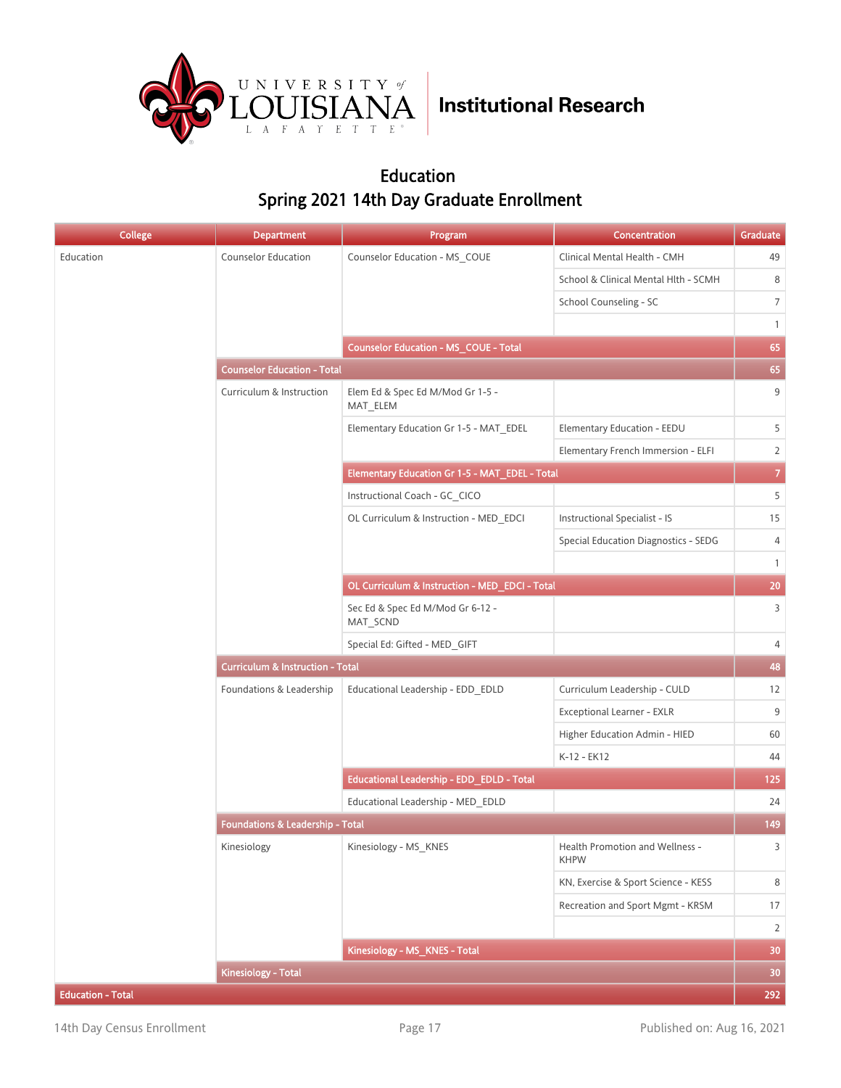

#### Education Spring 2021 14th Day Graduate Enrollment

| <b>College</b>           | <b>Department</b>                           | Program                                        | Concentration                                  | Graduate        |  |
|--------------------------|---------------------------------------------|------------------------------------------------|------------------------------------------------|-----------------|--|
| Education                | <b>Counselor Education</b>                  | Counselor Education - MS_COUE                  | Clinical Mental Health - CMH                   | 49              |  |
|                          |                                             |                                                | School & Clinical Mental Hlth - SCMH           | 8               |  |
|                          |                                             |                                                | School Counseling - SC                         | $7\overline{ }$ |  |
|                          |                                             |                                                |                                                | $\mathbf{1}$    |  |
|                          |                                             | Counselor Education - MS_COUE - Total          |                                                | 65              |  |
|                          | <b>Counselor Education - Total</b>          |                                                |                                                | 65              |  |
|                          | Curriculum & Instruction                    | Elem Ed & Spec Ed M/Mod Gr 1-5 -<br>MAT_ELEM   |                                                | 9               |  |
|                          |                                             | Elementary Education Gr 1-5 - MAT EDEL         | Elementary Education - EEDU                    | 5               |  |
|                          |                                             |                                                | Elementary French Immersion - ELFI             | $\overline{2}$  |  |
|                          |                                             | Elementary Education Gr 1-5 - MAT_EDEL - Total |                                                | $\overline{7}$  |  |
|                          |                                             | Instructional Coach - GC CICO                  |                                                | 5               |  |
|                          |                                             | OL Curriculum & Instruction - MED EDCI         | <b>Instructional Specialist - IS</b>           | 15              |  |
|                          |                                             |                                                | <b>Special Education Diagnostics - SEDG</b>    | 4               |  |
|                          |                                             |                                                |                                                | $\mathbf{1}$    |  |
|                          |                                             | OL Curriculum & Instruction - MED_EDCI - Total |                                                | 20              |  |
|                          |                                             | Sec Ed & Spec Ed M/Mod Gr 6-12 -<br>MAT_SCND   |                                                | $\overline{3}$  |  |
|                          |                                             | Special Ed: Gifted - MED_GIFT                  |                                                | 4               |  |
|                          | <b>Curriculum &amp; Instruction - Total</b> |                                                |                                                |                 |  |
|                          | Foundations & Leadership                    | Educational Leadership - EDD_EDLD              | Curriculum Leadership - CULD                   | 12              |  |
|                          |                                             |                                                | Exceptional Learner - EXLR                     | 9               |  |
|                          |                                             |                                                | Higher Education Admin - HIED                  | 60              |  |
|                          |                                             |                                                | K-12 - EK12                                    | 44              |  |
|                          |                                             | Educational Leadership - EDD_EDLD - Total      |                                                | 125             |  |
|                          |                                             | Educational Leadership - MED EDLD              |                                                | 24              |  |
|                          | Foundations & Leadership - Total            |                                                |                                                | 149             |  |
|                          | Kinesiology                                 | Kinesiology - MS_KNES                          | Health Promotion and Wellness -<br><b>KHPW</b> | $\overline{3}$  |  |
|                          |                                             |                                                | KN, Exercise & Sport Science - KESS            | 8               |  |
|                          |                                             |                                                | Recreation and Sport Mgmt - KRSM               | 17              |  |
|                          |                                             |                                                |                                                | $\overline{2}$  |  |
|                          |                                             | Kinesiology - MS_KNES - Total                  |                                                | 30 <sub>2</sub> |  |
|                          | <b>Kinesiology - Total</b>                  |                                                |                                                | 30 <sub>2</sub> |  |
| <b>Education - Total</b> |                                             |                                                |                                                | 292             |  |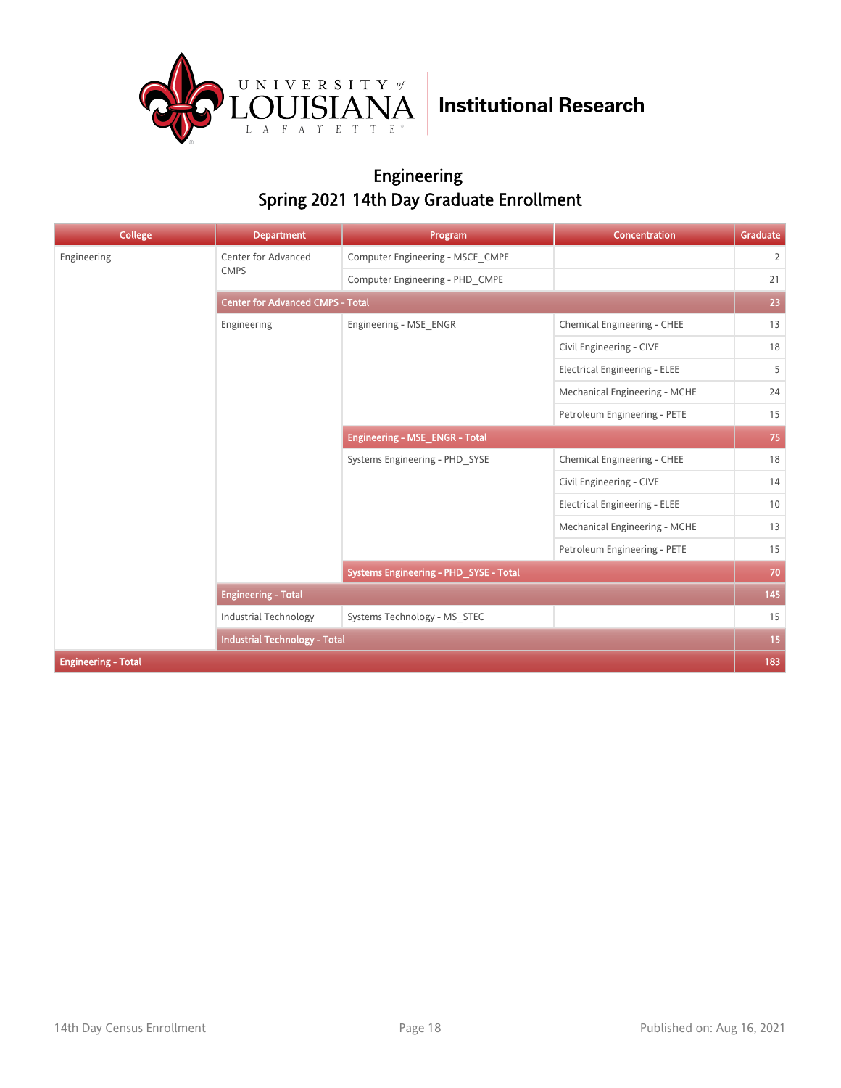

#### Engineering Spring 2021 14th Day Graduate Enrollment

| <b>College</b>             | <b>Department</b>                       | Program                                | Concentration                        | Graduate       |  |
|----------------------------|-----------------------------------------|----------------------------------------|--------------------------------------|----------------|--|
| Engineering                | Center for Advanced                     | Computer Engineering - MSCE_CMPE       |                                      | $\overline{2}$ |  |
|                            | <b>CMPS</b>                             | Computer Engineering - PHD CMPE        |                                      | 21             |  |
|                            | <b>Center for Advanced CMPS - Total</b> |                                        |                                      |                |  |
|                            | Engineering                             | Engineering - MSE ENGR                 | Chemical Engineering - CHEE          | 13             |  |
|                            |                                         |                                        | Civil Engineering - CIVE             | 18             |  |
|                            |                                         |                                        | <b>Electrical Engineering - ELEE</b> | 5              |  |
|                            |                                         |                                        | Mechanical Engineering - MCHE        | 24             |  |
|                            |                                         |                                        | Petroleum Engineering - PETE         | 15             |  |
|                            |                                         | <b>Engineering - MSE_ENGR - Total</b>  |                                      | 75             |  |
|                            |                                         | Systems Engineering - PHD SYSE         | Chemical Engineering - CHEE          | 18             |  |
|                            |                                         |                                        | Civil Engineering - CIVE             | 14             |  |
|                            |                                         |                                        | <b>Electrical Engineering - ELEE</b> | 10             |  |
|                            |                                         |                                        | Mechanical Engineering - MCHE        | 13             |  |
|                            |                                         |                                        | Petroleum Engineering - PETE         | 15             |  |
|                            |                                         | Systems Engineering - PHD_SYSE - Total |                                      | 70             |  |
|                            | <b>Engineering - Total</b>              |                                        |                                      | 145            |  |
|                            | <b>Industrial Technology</b>            | Systems Technology - MS STEC           |                                      | 15             |  |
|                            | <b>Industrial Technology - Total</b>    |                                        |                                      | 15             |  |
| <b>Engineering - Total</b> |                                         |                                        |                                      | 183            |  |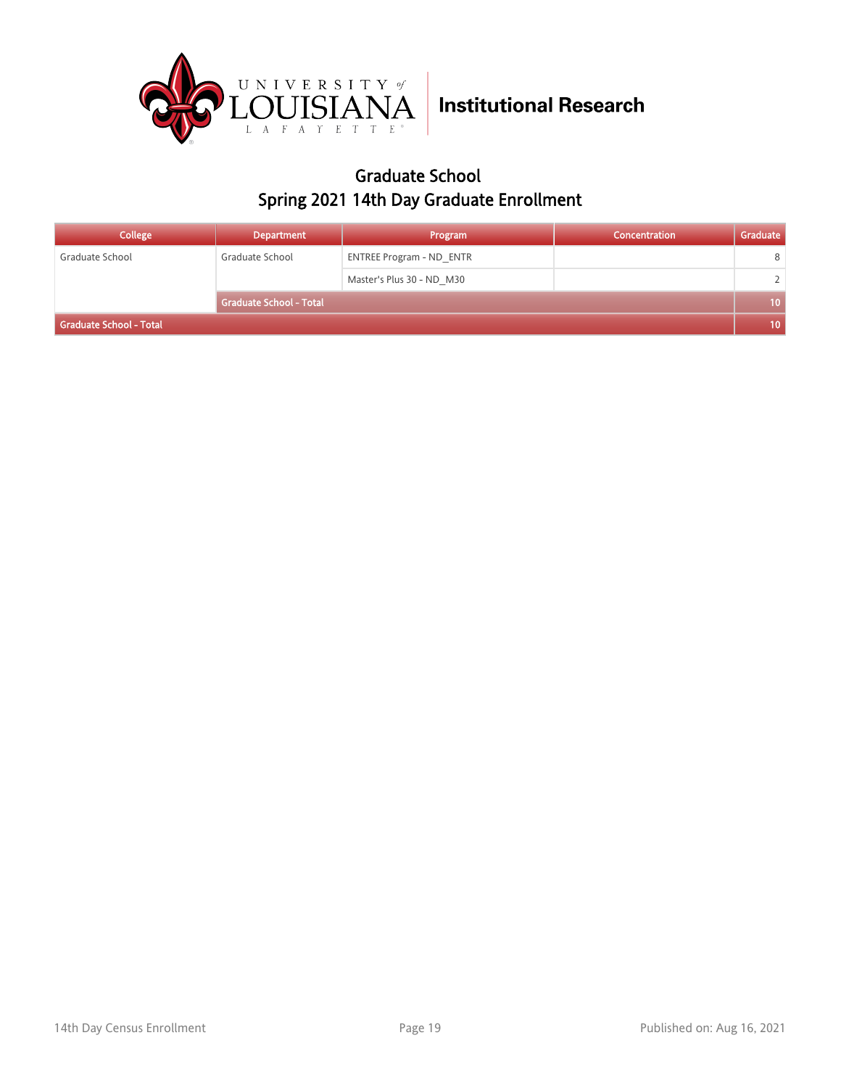

#### Graduate School Spring 2021 14th Day Graduate Enrollment

| <b>College</b>          | <b>Department</b>              | Program                         | Concentration | Graduate |
|-------------------------|--------------------------------|---------------------------------|---------------|----------|
| Graduate School         | Graduate School                | <b>ENTREE Program - ND ENTR</b> |               | 8        |
|                         |                                | Master's Plus 30 - ND M30       |               | 2.       |
|                         | <b>Graduate School - Total</b> |                                 |               | $10-1$   |
| Graduate School - Total |                                |                                 |               |          |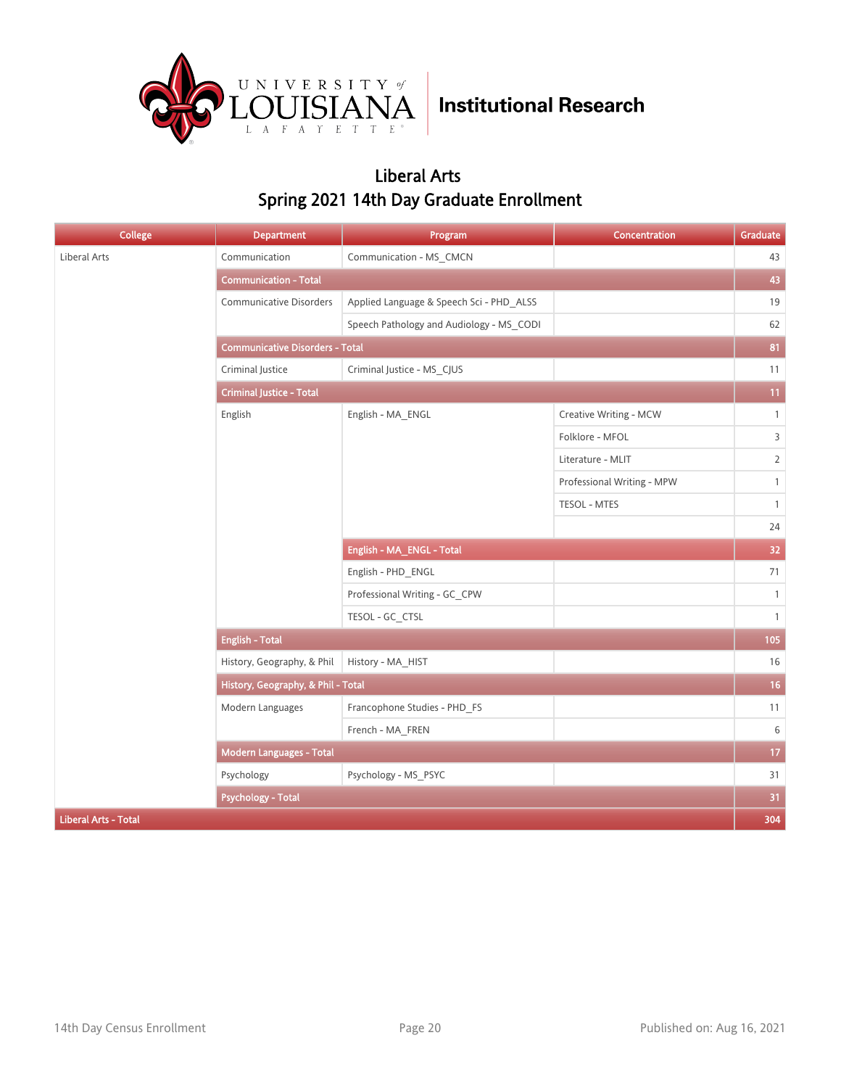

#### Liberal Arts Spring 2021 14th Day Graduate Enrollment

| College                     | <b>Department</b>                      | Program                                  | Concentration              | Graduate        |  |
|-----------------------------|----------------------------------------|------------------------------------------|----------------------------|-----------------|--|
| Liberal Arts                | Communication                          | Communication - MS_CMCN                  |                            | 43              |  |
|                             | <b>Communication - Total</b>           |                                          |                            | 43              |  |
|                             | <b>Communicative Disorders</b>         | Applied Language & Speech Sci - PHD_ALSS |                            | 19              |  |
|                             |                                        | Speech Pathology and Audiology - MS_CODI |                            | 62              |  |
|                             | <b>Communicative Disorders - Total</b> |                                          |                            |                 |  |
|                             | Criminal Justice                       | Criminal Justice - MS_CJUS               |                            | 11              |  |
|                             | <b>Criminal Justice - Total</b>        |                                          |                            |                 |  |
|                             | English                                | English - MA_ENGL                        | Creative Writing - MCW     | $\mathbf{1}$    |  |
|                             |                                        |                                          | Folklore - MFOL            | $\overline{3}$  |  |
|                             |                                        |                                          | Literature - MLIT          | $\overline{2}$  |  |
|                             |                                        |                                          | Professional Writing - MPW | $\mathbf{1}$    |  |
|                             |                                        |                                          | <b>TESOL - MTES</b>        | $\mathbf{1}$    |  |
|                             |                                        |                                          |                            | 24              |  |
|                             |                                        | English - MA_ENGL - Total                |                            | 32 <sub>1</sub> |  |
|                             |                                        | English - PHD_ENGL                       |                            | 71              |  |
|                             |                                        | Professional Writing - GC_CPW            |                            | $\mathbf{1}$    |  |
|                             |                                        | TESOL - GC_CTSL                          |                            | $\mathbf{1}$    |  |
|                             | <b>English - Total</b>                 |                                          |                            | 105             |  |
|                             | History, Geography, & Phil             | History - MA_HIST                        |                            | $16\,$          |  |
|                             | History, Geography, & Phil - Total     |                                          |                            | 16 <sub>1</sub> |  |
|                             | Modern Languages                       | Francophone Studies - PHD_FS             |                            | 11              |  |
|                             |                                        | French - MA FREN                         |                            | $\,6\,$         |  |
|                             | Modern Languages - Total               |                                          |                            | $17\,$          |  |
|                             | Psychology                             | Psychology - MS_PSYC                     |                            | 31              |  |
|                             | <b>Psychology - Total</b>              |                                          |                            | 31              |  |
| <b>Liberal Arts - Total</b> |                                        |                                          |                            | 304             |  |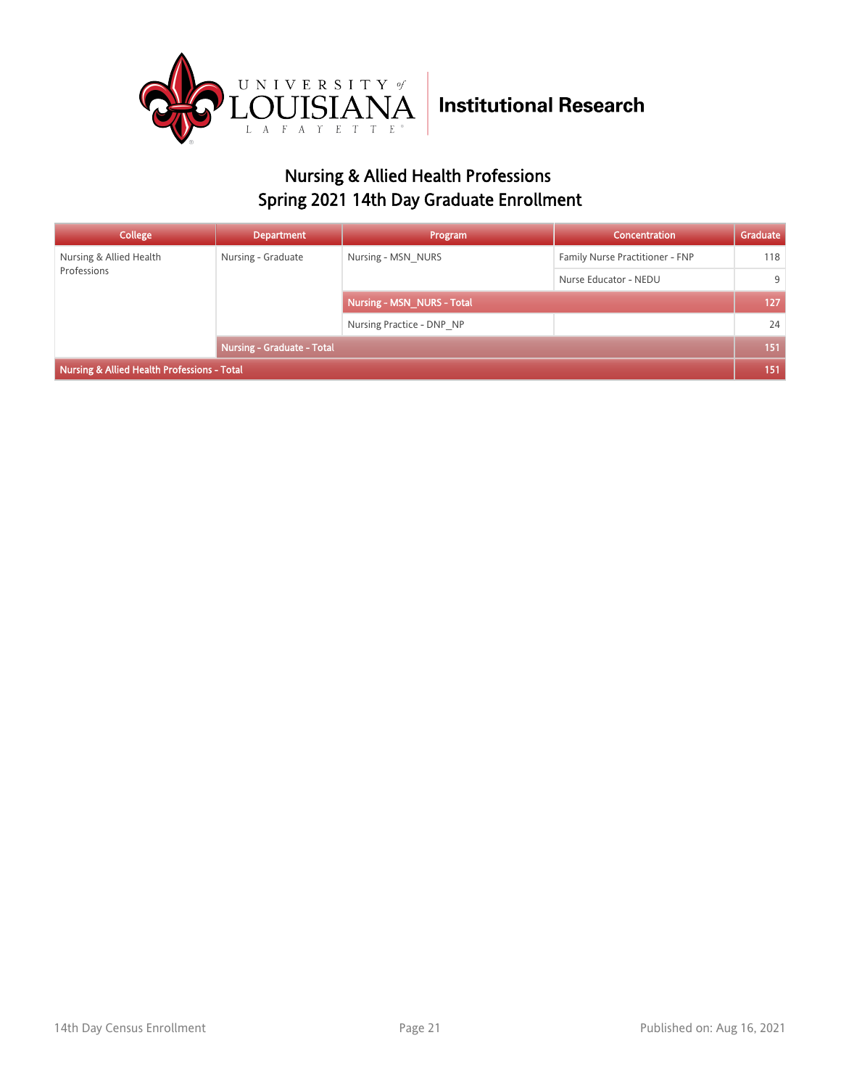

### Nursing & Allied Health Professions Spring 2021 14th Day Graduate Enrollment

| College                                     | <b>Department</b>          | Program                    | <b>Concentration</b>            | Graduate |
|---------------------------------------------|----------------------------|----------------------------|---------------------------------|----------|
| Nursing & Allied Health<br>Professions      | Nursing - Graduate         | Nursing - MSN NURS         | Family Nurse Practitioner - FNP | 118      |
|                                             |                            |                            | Nurse Educator - NEDU           | 9        |
|                                             |                            | Nursing - MSN NURS - Total |                                 | 127      |
|                                             |                            | Nursing Practice - DNP NP  |                                 | 24       |
|                                             | Nursing - Graduate - Total |                            | 151                             |          |
| Nursing & Allied Health Professions - Total |                            |                            |                                 |          |